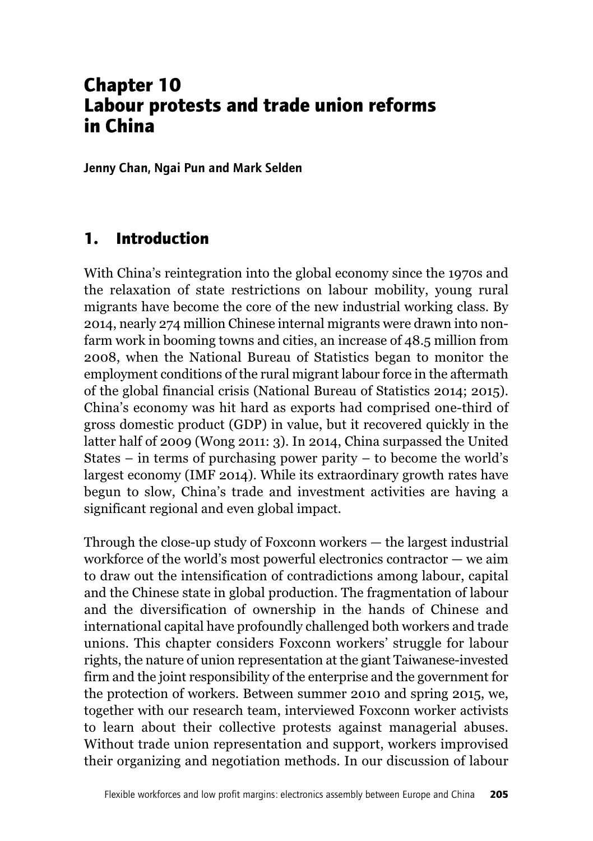# **Chapter 10 Labour protests and trade union reforms in China**

**Jenny Chan, Ngai Pun and Mark Selden**

### **1. Introduction**

With China's reintegration into the global economy since the 1970s and the relaxation of state restrictions on labour mobility, young rural migrants have become the core of the new industrial working class. By 2014, nearly 274 million Chinese internal migrants were drawn into nonfarm work in booming towns and cities, an increase of 48.5 million from 2008, when the National Bureau of Statistics began to monitor the employment conditions of the rural migrant labour force in the aftermath of the global financial crisis (National Bureau of Statistics 2014; 2015). China's economy was hit hard as exports had comprised one-third of gross domestic product (GDP) in value, but it recovered quickly in the latter half of 2009 (Wong 2011: 3). In 2014, China surpassed the United States – in terms of purchasing power parity – to become the world's largest economy (IMF 2014). While its extraordinary growth rates have begun to slow, China's trade and investment activities are having a significant regional and even global impact.

Through the close-up study of Foxconn workers — the largest industrial workforce of the world's most powerful electronics contractor — we aim to draw out the intensification of contradictions among labour, capital and the Chinese state in global production. The fragmentation of labour and the diversification of ownership in the hands of Chinese and international capital have profoundly challenged both workers and trade unions. This chapter considers Foxconn workers' struggle for labour rights, the nature of union representation at the giant Taiwanese-invested firm and the joint responsibility of the enterprise and the government for the protection of workers. Between summer 2010 and spring 2015, we, together with our research team, interviewed Foxconn worker activists to learn about their collective protests against managerial abuses. Without trade union representation and support, workers improvised their organizing and negotiation methods. In our discussion of labour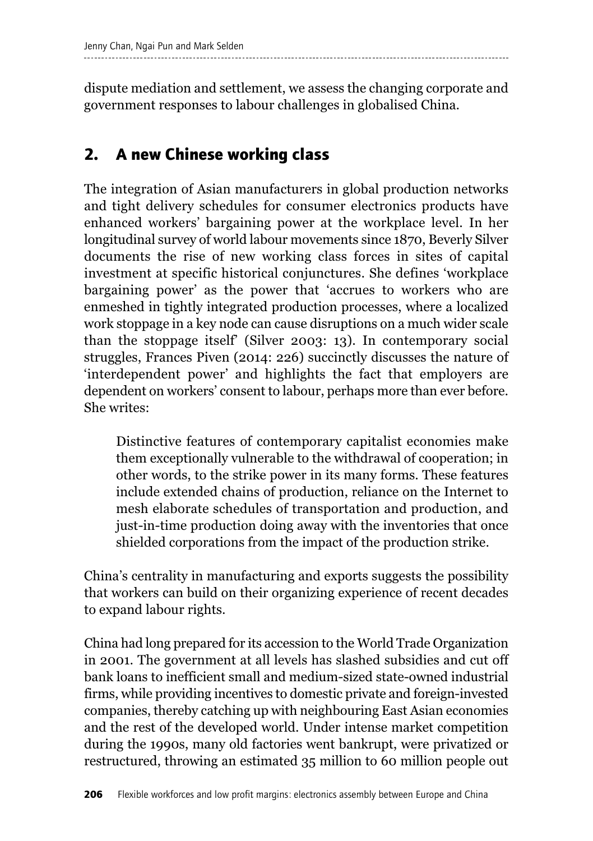dispute mediation and settlement, we assess the changing corporate and government responses to labour challenges in globalised China.

# **2. A new Chinese working class**

The integration of Asian manufacturers in global production networks and tight delivery schedules for consumer electronics products have enhanced workers' bargaining power at the workplace level. In her longitudinal survey of world labour movements since 1870, Beverly Silver documents the rise of new working class forces in sites of capital investment at specific historical conjunctures. She defines 'workplace bargaining power' as the power that 'accrues to workers who are enmeshed in tightly integrated production processes, where a localized work stoppage in a key node can cause disruptions on a much wider scale than the stoppage itself' (Silver 2003: 13). In contemporary social struggles, Frances Piven (2014: 226) succinctly discusses the nature of 'interdependent power' and highlights the fact that employers are dependent on workers' consent to labour, perhaps more than ever before. She writes:

Distinctive features of contemporary capitalist economies make them exceptionally vulnerable to the withdrawal of cooperation; in other words, to the strike power in its many forms. These features include extended chains of production, reliance on the Internet to mesh elaborate schedules of transportation and production, and just-in-time production doing away with the inventories that once shielded corporations from the impact of the production strike.

China's centrality in manufacturing and exports suggests the possibility that workers can build on their organizing experience of recent decades to expand labour rights.

China had long prepared for its accession to the World Trade Organization in 2001. The government at all levels has slashed subsidies and cut off bank loans to inefficient small and medium-sized state-owned industrial firms, while providing incentives to domestic private and foreign-invested companies, thereby catching up with neighbouring East Asian economies and the rest of the developed world. Under intense market competition during the 1990s, many old factories went bankrupt, were privatized or restructured, throwing an estimated 35 million to 60 million people out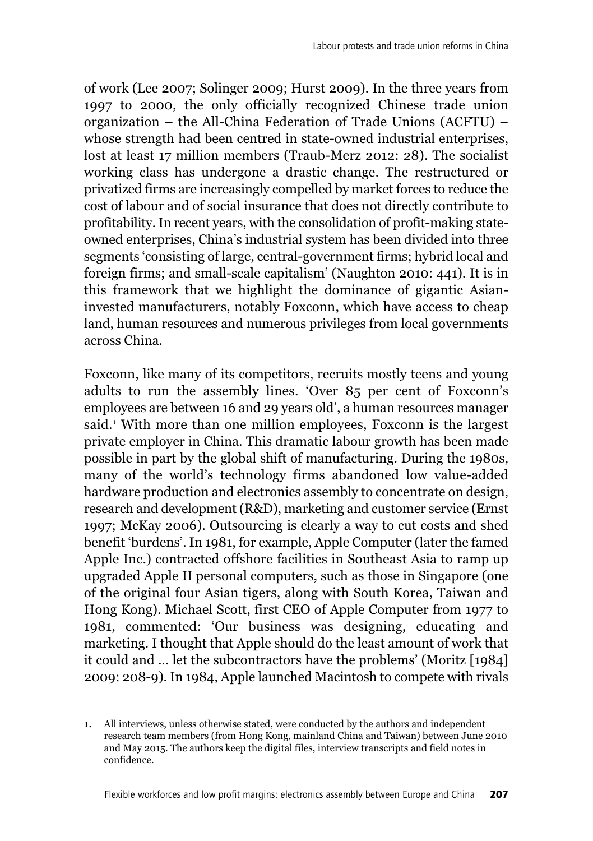of work (Lee 2007; Solinger 2009; Hurst 2009). In the three years from 1997 to 2000, the only officially recognized Chinese trade union organization – the All-China Federation of Trade Unions (ACFTU) – whose strength had been centred in state-owned industrial enterprises, lost at least 17 million members (Traub-Merz 2012: 28). The socialist working class has undergone a drastic change. The restructured or privatized firms are increasingly compelled by market forces to reduce the cost of labour and of social insurance that does not directly contribute to profitability.In recent years, with the consolidation of profit-making stateowned enterprises, China's industrial system has been divided into three segments 'consisting of large, central-government firms; hybrid local and foreign firms; and small-scale capitalism' (Naughton 2010: 441). It is in this framework that we highlight the dominance of gigantic Asianinvested manufacturers, notably Foxconn, which have access to cheap land, human resources and numerous privileges from local governments across China.

Foxconn, like many of its competitors, recruits mostly teens and young adults to run the assembly lines. 'Over 85 per cent of Foxconn's employees are between 16 and 29 years old', a human resources manager said. <sup>1</sup> With more than one million employees, Foxconn is the largest private employer in China. This dramatic labour growth has been made possible in part by the global shift of manufacturing. During the 1980s, many of the world's technology firms abandoned low value-added hardware production and electronics assembly to concentrate on design, research and development (R&D), marketing and customer service (Ernst 1997; McKay 2006). Outsourcing is clearly a way to cut costs and shed benefit 'burdens'. In 1981, for example, Apple Computer (later the famed Apple Inc.) contracted offshore facilities in Southeast Asia to ramp up upgraded Apple II personal computers, such as those in Singapore (one of the original four Asian tigers, along with South Korea, Taiwan and Hong Kong). Michael Scott, first CEO of Apple Computer from 1977 to 1981, commented: 'Our business was designing, educating and marketing. I thought that Apple should do the least amount of work that it could and ... let the subcontractors have the problems' (Moritz [1984] 2009: 208-9). In 1984, Apple launched Macintosh to compete with rivals

**<sup>1.</sup>** All interviews, unless otherwise stated, were conducted by the authors and independent research team members (from Hong Kong, mainland China and Taiwan) between June 2010 and May 2015. The authors keep the digital files, interview transcripts and field notes in confidence.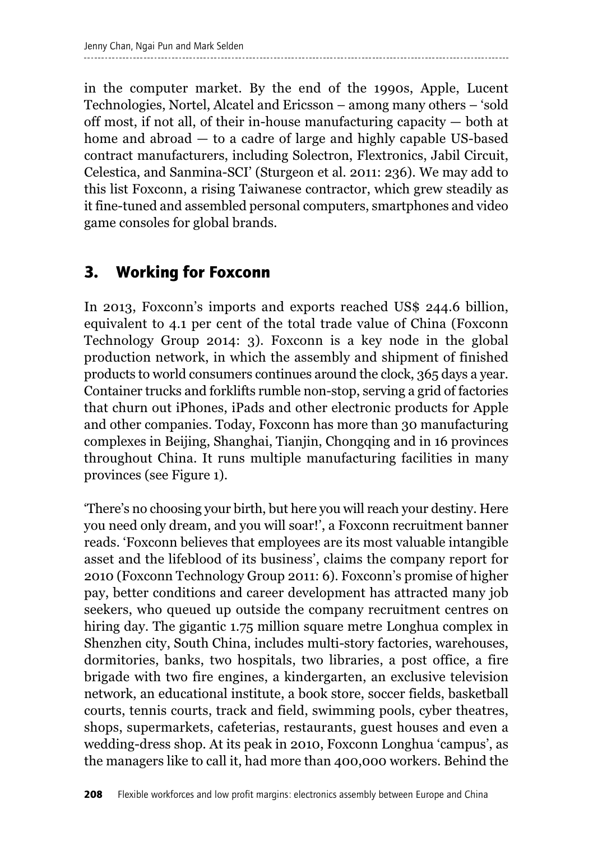in the computer market. By the end of the 1990s, Apple, Lucent Technologies, Nortel, Alcatel and Ericsson – among many others – 'sold off most, if not all, of their in-house manufacturing capacity — both at home and abroad — to a cadre of large and highly capable US-based contract manufacturers, including Solectron, Flextronics, Jabil Circuit, Celestica, and Sanmina-SCI' (Sturgeon et al. 2011: 236). We may add to this list Foxconn, a rising Taiwanese contractor, which grew steadily as it fine-tuned and assembled personal computers, smartphones and video game consoles for global brands.

## **3. Working for Foxconn**

In 2013, Foxconn's imports and exports reached US\$ 244.6 billion, equivalent to 4.1 per cent of the total trade value of China (Foxconn Technology Group 2014: 3). Foxconn is a key node in the global production network, in which the assembly and shipment of finished products to world consumers continues around the clock, 365 days a year. Container trucks and forklifts rumble non-stop, serving a grid of factories that churn out iPhones, iPads and other electronic products for Apple and other companies. Today, Foxconn has more than 30 manufacturing complexes in Beijing, Shanghai, Tianjin, Chongqing and in 16 provinces throughout China. It runs multiple manufacturing facilities in many provinces (see Figure 1).

'There's no choosing your birth, but here you will reach your destiny. Here you need only dream, and you will soar!', a Foxconn recruitment banner reads. 'Foxconn believes that employees are its most valuable intangible asset and the lifeblood of its business', claims the company report for 2010 (Foxconn Technology Group 2011: 6). Foxconn's promise of higher pay, better conditions and career development has attracted many job seekers, who queued up outside the company recruitment centres on hiring day. The gigantic 1.75 million square metre Longhua complex in Shenzhen city, South China, includes multi-story factories, warehouses, dormitories, banks, two hospitals, two libraries, a post office, a fire brigade with two fire engines, a kindergarten, an exclusive television network, an educational institute, a book store, soccer fields, basketball courts, tennis courts, track and field, swimming pools, cyber theatres, shops, supermarkets, cafeterias, restaurants, guest houses and even a wedding-dress shop. At its peak in 2010, Foxconn Longhua 'campus', as the managers like to call it, had more than 400,000 workers. Behind the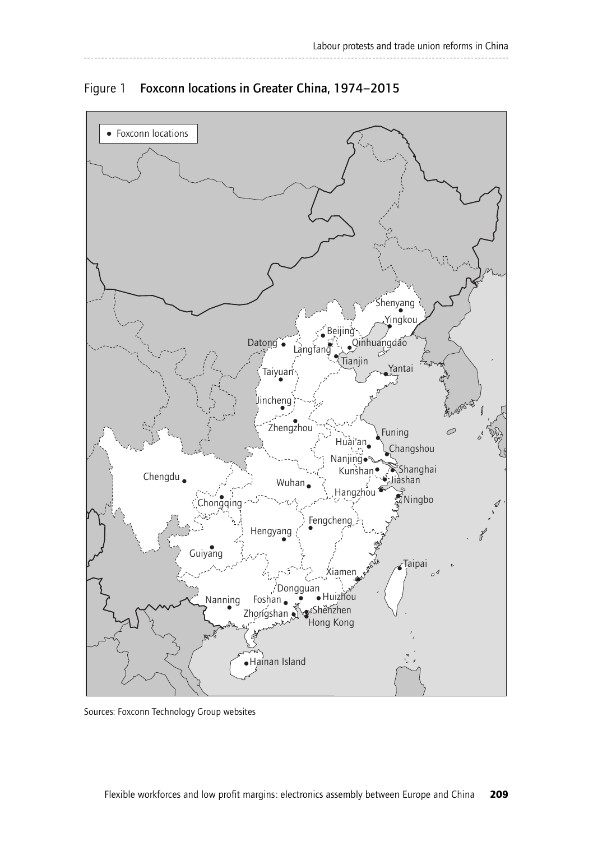

Figure 1 Foxconn locations in Greater China, 1974–2015

Sources: Foxconn Technology Group websites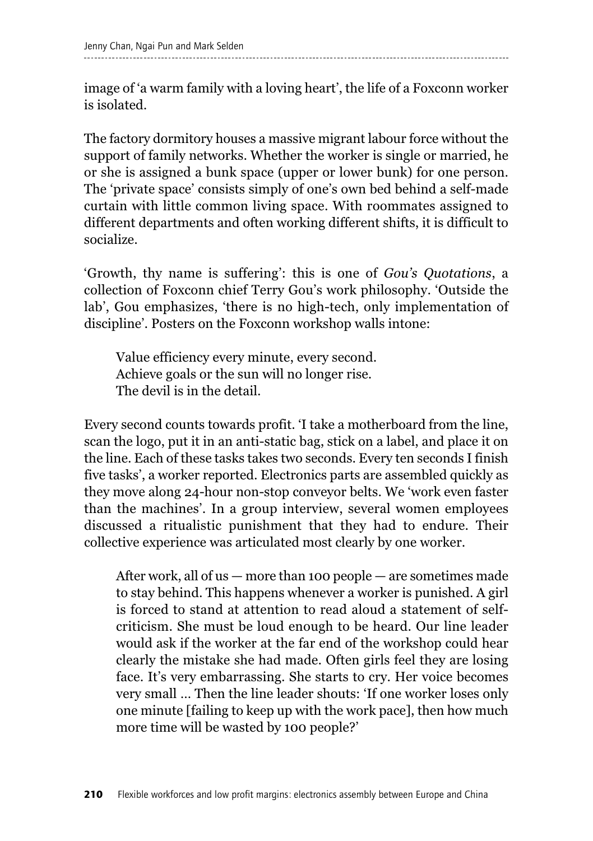image of 'a warm family with a loving heart', the life of a Foxconn worker is isolated.

The factory dormitory houses a massive migrant labour force without the support of family networks. Whether the worker is single or married, he or she is assigned a bunk space (upper or lower bunk) for one person. The 'private space' consists simply of one's own bed behind a self-made curtain with little common living space. With roommates assigned to different departments and often working different shifts, it is difficult to socialize.

'Growth, thy name is suffering': this is one of *Gou's Quotations*, a collection of Foxconn chief Terry Gou's work philosophy. 'Outside the lab', Gou emphasizes, 'there is no high-tech, only implementation of discipline'. Posters on the Foxconn workshop walls intone:

Value efficiency every minute, every second. Achieve goals or the sun will no longer rise. The devil is in the detail.

Every second counts towards profit. 'I take a motherboard from the line, scan the logo, put it in an anti-static bag, stick on a label, and place it on the line. Each of these tasks takes two seconds. Every ten seconds I finish five tasks', a worker reported. Electronics parts are assembled quickly as they move along 24-hour non-stop conveyor belts. We 'work even faster than the machines'. In a group interview, several women employees discussed a ritualistic punishment that they had to endure. Their collective experience was articulated most clearly by one worker.

After work, all of us — more than 100 people — are sometimes made to stay behind. This happens whenever a worker is punished. A girl is forced to stand at attention to read aloud a statement of selfcriticism. She must be loud enough to be heard. Our line leader would ask if the worker at the far end of the workshop could hear clearly the mistake she had made. Often girls feel they are losing face. It's very embarrassing. She starts to cry. Her voice becomes very small … Then the line leader shouts: 'If one worker loses only one minute [failing to keep up with the work pace], then how much more time will be wasted by 100 people?'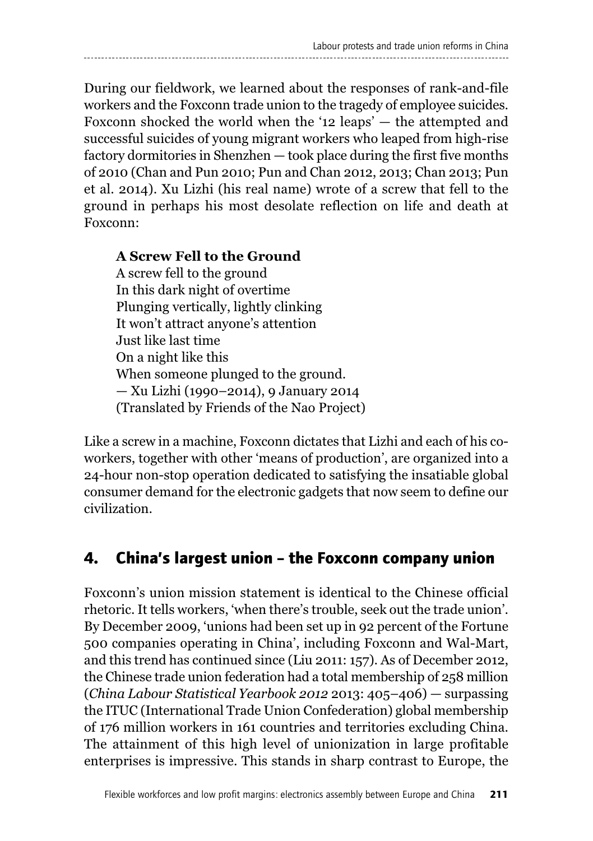During our fieldwork, we learned about the responses of rank-and-file workers and the Foxconn trade union to the tragedy of employee suicides. Foxconn shocked the world when the '12 leaps' — the attempted and successful suicides of young migrant workers who leaped from high-rise factory dormitories in Shenzhen — took place during the first five months of 2010 (Chan and Pun 2010; Pun and Chan 2012, 2013; Chan 2013; Pun et al. 2014). Xu Lizhi (his real name) wrote of a screw that fell to the ground in perhaps his most desolate reflection on life and death at Foxconn:

#### **A Screw Fell to the Ground**

A screw fell to the ground In this dark night of overtime Plunging vertically, lightly clinking It won't attract anyone's attention Just like last time On a night like this When someone plunged to the ground. — Xu Lizhi (1990–2014), 9 January 2014 (Translated by Friends of the Nao Project)

Like a screw in a machine, Foxconn dictates that Lizhi and each of his coworkers, together with other 'means of production', are organized into a 24-hour non-stop operation dedicated to satisfying the insatiable global consumer demand for the electronic gadgets that now seem to define our civilization.

### **4. China's largest union – the Foxconn company union**

Foxconn's union mission statement is identical to the Chinese official rhetoric. It tells workers, 'when there's trouble, seek out the trade union'. By December 2009, 'unions had been set up in 92 percent of the Fortune 500 companies operating in China', including Foxconn and Wal-Mart, and this trend has continued since (Liu 2011: 157). As of December 2012, the Chinese trade union federation had a total membership of 258 million (*China Labour Statistical Yearbook 2012* 2013: 405–406) — surpassing the ITUC (International Trade Union Confederation) global membership of 176 million workers in 161 countries and territories excluding China. The attainment of this high level of unionization in large profitable enterprises is impressive. This stands in sharp contrast to Europe, the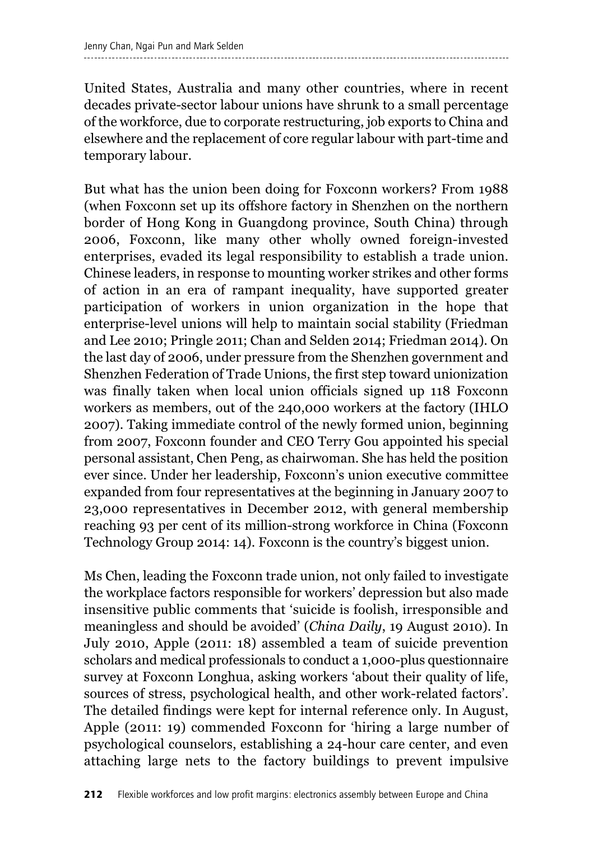United States, Australia and many other countries, where in recent decades private-sector labour unions have shrunk to a small percentage of the workforce, due to corporate restructuring, job exports to China and elsewhere and the replacement of core regular labour with part-time and temporary labour.

But what has the union been doing for Foxconn workers? From 1988 (when Foxconn set up its offshore factory in Shenzhen on the northern border of Hong Kong in Guangdong province, South China) through 2006, Foxconn, like many other wholly owned foreign-invested enterprises, evaded its legal responsibility to establish a trade union. Chinese leaders, in response to mounting worker strikes and other forms of action in an era of rampant inequality, have supported greater participation of workers in union organization in the hope that enterprise-level unions will help to maintain social stability (Friedman and Lee 2010; Pringle 2011; Chan and Selden 2014; Friedman 2014). On the last day of 2006, under pressure from the Shenzhen government and Shenzhen Federation of Trade Unions, the first step toward unionization was finally taken when local union officials signed up 118 Foxconn workers as members, out of the 240,000 workers at the factory (IHLO 2007). Taking immediate control of the newly formed union, beginning from 2007, Foxconn founder and CEO Terry Gou appointed his special personal assistant, Chen Peng, as chairwoman. She has held the position ever since. Under her leadership, Foxconn's union executive committee expanded from four representatives at the beginning in January 2007 to 23,000 representatives in December 2012, with general membership reaching 93 per cent of its million-strong workforce in China (Foxconn Technology Group 2014: 14). Foxconn is the country's biggest union.

Ms Chen, leading the Foxconn trade union, not only failed to investigate the workplace factors responsible for workers' depression but also made insensitive public comments that 'suicide is foolish, irresponsible and meaningless and should be avoided' (*China Daily*, 19 August 2010). In July 2010, Apple (2011: 18) assembled a team of suicide prevention scholars and medical professionals to conduct a 1,000-plus questionnaire survey at Foxconn Longhua, asking workers 'about their quality of life, sources of stress, psychological health, and other work-related factors'. The detailed findings were kept for internal reference only. In August, Apple (2011: 19) commended Foxconn for 'hiring a large number of psychological counselors, establishing a 24-hour care center, and even attaching large nets to the factory buildings to prevent impulsive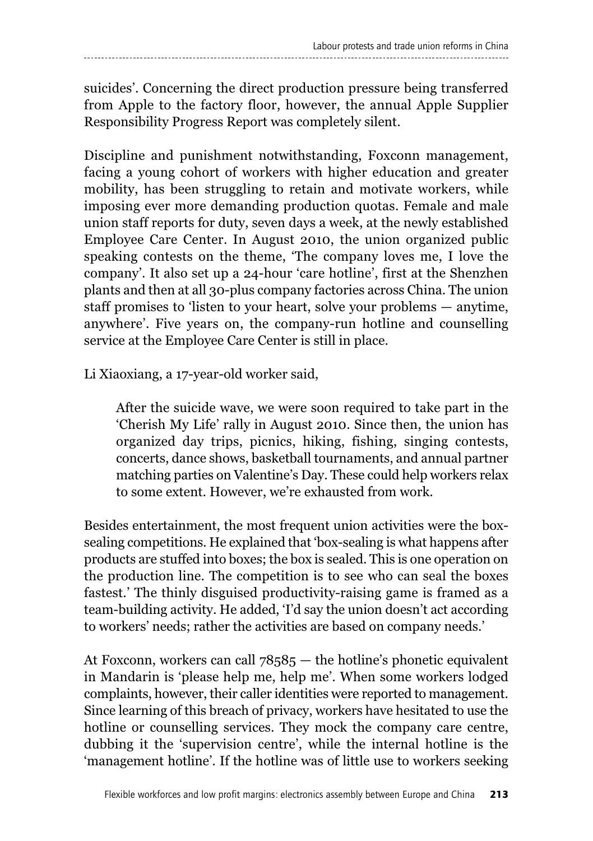suicides'. Concerning the direct production pressure being transferred from Apple to the factory floor, however, the annual Apple Supplier Responsibility Progress Report was completely silent.

Discipline and punishment notwithstanding, Foxconn management, facing a young cohort of workers with higher education and greater mobility, has been struggling to retain and motivate workers, while imposing ever more demanding production quotas. Female and male union staff reports for duty, seven days a week, at the newly established Employee Care Center. In August 2010, the union organized public speaking contests on the theme, 'The company loves me, I love the company'. It also set up a 24-hour 'care hotline', first at the Shenzhen plants and then at all 30-plus company factories across China. The union staff promises to 'listen to your heart, solve your problems — anytime, anywhere'. Five years on, the company-run hotline and counselling service at the Employee Care Center is still in place.

Li Xiaoxiang, a 17-year-old worker said,

After the suicide wave, we were soon required to take part in the 'Cherish My Life' rally in August 2010. Since then, the union has organized day trips, picnics, hiking, fishing, singing contests, concerts, dance shows, basketball tournaments, and annual partner matching parties on Valentine's Day. These could help workers relax to some extent. However, we're exhausted from work.

Besides entertainment, the most frequent union activities were the boxsealing competitions. He explained that 'box-sealing is what happens after products are stuffed into boxes; the box is sealed. This is one operation on the production line. The competition is to see who can seal the boxes fastest.' The thinly disguised productivity-raising game is framed as a team-building activity. He added, 'I'd say the union doesn't act according to workers' needs; rather the activities are based on company needs.'

At Foxconn, workers can call 78585 — the hotline's phonetic equivalent in Mandarin is 'please help me, help me'. When some workers lodged complaints, however, their caller identities were reported to management. Since learning of this breach of privacy, workers have hesitated to use the hotline or counselling services. They mock the company care centre, dubbing it the 'supervision centre', while the internal hotline is the 'management hotline'. If the hotline was of little use to workers seeking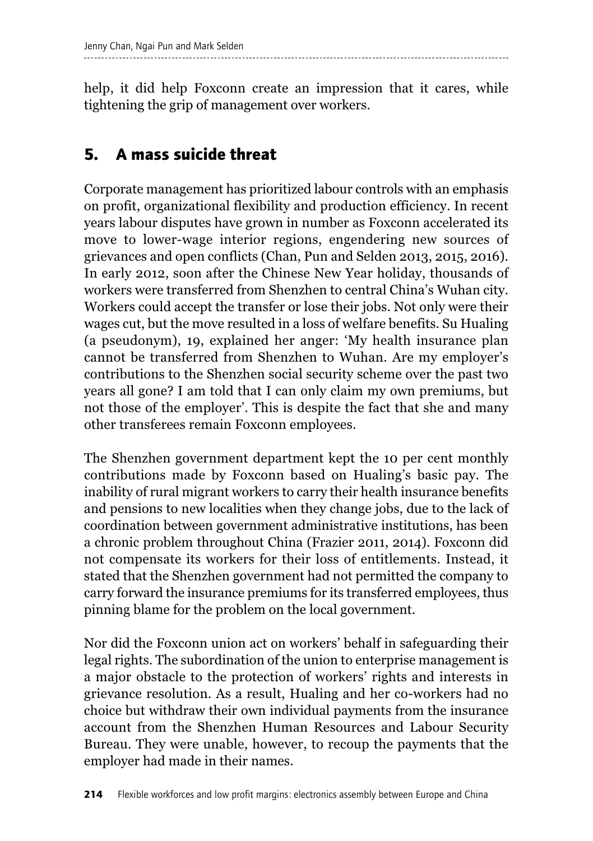help, it did help Foxconn create an impression that it cares, while tightening the grip of management over workers.

# **5. A mass suicide threat**

Corporate management has prioritized labour controls with an emphasis on profit, organizational flexibility and production efficiency. In recent years labour disputes have grown in number as Foxconn accelerated its move to lower-wage interior regions, engendering new sources of grievances and open conflicts (Chan, Pun and Selden 2013, 2015, 2016). In early 2012, soon after the Chinese New Year holiday, thousands of workers were transferred from Shenzhen to central China's Wuhan city. Workers could accept the transfer or lose their jobs. Not only were their wages cut, but the move resulted in a loss of welfare benefits. Su Hualing (a pseudonym), 19, explained her anger: 'My health insurance plan cannot be transferred from Shenzhen to Wuhan. Are my employer's contributions to the Shenzhen social security scheme over the past two years all gone? I am told that I can only claim my own premiums, but not those of the employer'. This is despite the fact that she and many other transferees remain Foxconn employees.

The Shenzhen government department kept the 10 per cent monthly contributions made by Foxconn based on Hualing's basic pay. The inability of rural migrant workers to carry their health insurance benefits and pensions to new localities when they change jobs, due to the lack of coordination between government administrative institutions, has been a chronic problem throughout China (Frazier 2011, 2014). Foxconn did not compensate its workers for their loss of entitlements. Instead, it stated that the Shenzhen government had not permitted the company to carry forward the insurance premiums for its transferred employees, thus pinning blame for the problem on the local government.

Nor did the Foxconn union act on workers' behalf in safeguarding their legal rights. The subordination of the union to enterprise management is a major obstacle to the protection of workers' rights and interests in grievance resolution. As a result, Hualing and her co-workers had no choice but withdraw their own individual payments from the insurance account from the Shenzhen Human Resources and Labour Security Bureau. They were unable, however, to recoup the payments that the employer had made in their names.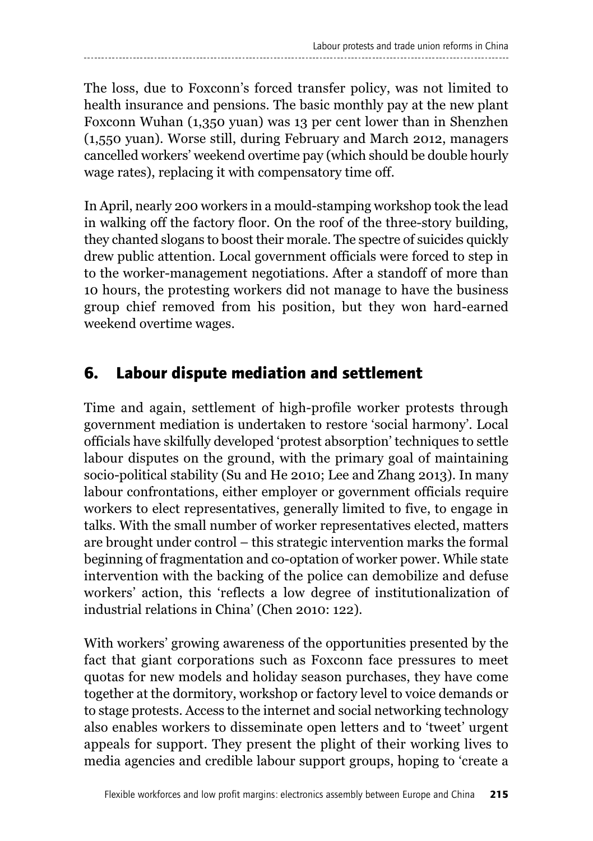The loss, due to Foxconn's forced transfer policy, was not limited to health insurance and pensions. The basic monthly pay at the new plant Foxconn Wuhan (1,350 yuan) was 13 per cent lower than in Shenzhen (1,550 yuan). Worse still, during February and March 2012, managers cancelled workers' weekend overtime pay (which should be double hourly wage rates), replacing it with compensatory time off.

In April, nearly 200 workers in a mould-stamping workshop took the lead in walking off the factory floor. On the roof of the three-story building, they chanted slogans to boost their morale. The spectre of suicides quickly drew public attention. Local government officials were forced to step in to the worker-management negotiations. After a standoff of more than 10 hours, the protesting workers did not manage to have the business group chief removed from his position, but they won hard-earned weekend overtime wages.

### **6. Labour dispute mediation and settlement**

Time and again, settlement of high-profile worker protests through government mediation is undertaken to restore 'social harmony'. Local officials have skilfully developed 'protest absorption' techniques to settle labour disputes on the ground, with the primary goal of maintaining socio-political stability (Su and He 2010; Lee and Zhang 2013). In many labour confrontations, either employer or government officials require workers to elect representatives, generally limited to five, to engage in talks. With the small number of worker representatives elected, matters are brought under control – this strategic intervention marks the formal beginning of fragmentation and co-optation of worker power. While state intervention with the backing of the police can demobilize and defuse workers' action, this 'reflects a low degree of institutionalization of industrial relations in China' (Chen 2010: 122).

With workers' growing awareness of the opportunities presented by the fact that giant corporations such as Foxconn face pressures to meet quotas for new models and holiday season purchases, they have come together at the dormitory, workshop or factory level to voice demands or to stage protests. Access to the internet and social networking technology also enables workers to disseminate open letters and to 'tweet' urgent appeals for support. They present the plight of their working lives to media agencies and credible labour support groups, hoping to 'create a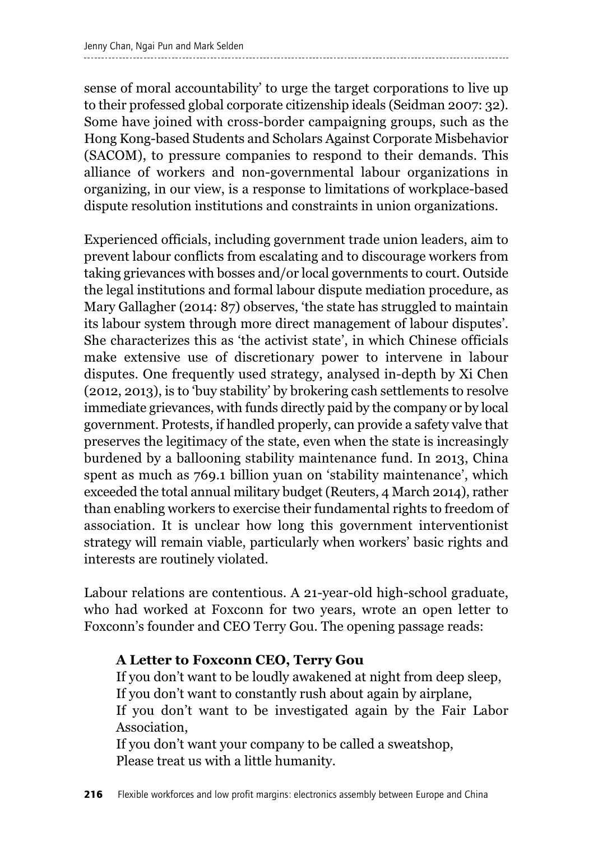sense of moral accountability' to urge the target corporations to live up to their professed global corporate citizenship ideals (Seidman 2007: 32). Some have joined with cross-border campaigning groups, such as the Hong Kong-based Students and Scholars Against Corporate Misbehavior (SACOM), to pressure companies to respond to their demands. This alliance of workers and non-governmental labour organizations in organizing, in our view, is a response to limitations of workplace-based dispute resolution institutions and constraints in union organizations.

Experienced officials, including government trade union leaders, aim to prevent labour conflicts from escalating and to discourage workers from taking grievances with bosses and/or local governments to court. Outside the legal institutions and formal labour dispute mediation procedure, as Mary Gallagher (2014: 87) observes, 'the state has struggled to maintain its labour system through more direct management of labour disputes'. She characterizes this as 'the activist state', in which Chinese officials make extensive use of discretionary power to intervene in labour disputes. One frequently used strategy, analysed in-depth by Xi Chen (2012, 2013), is to 'buy stability' by brokering cash settlements to resolve immediate grievances, with funds directly paid by the company or by local government. Protests, if handled properly, can provide a safety valve that preserves the legitimacy of the state, even when the state is increasingly burdened by a ballooning stability maintenance fund. In 2013, China spent as much as 769.1 billion yuan on 'stability maintenance', which exceeded the total annual military budget (Reuters, 4 March 2014), rather than enabling workers to exercise their fundamental rights to freedom of association. It is unclear how long this government interventionist strategy will remain viable, particularly when workers' basic rights and interests are routinely violated.

Labour relations are contentious. A 21-year-old high-school graduate, who had worked at Foxconn for two years, wrote an open letter to Foxconn's founder and CEO Terry Gou. The opening passage reads:

#### **A Letter to Foxconn CEO, Terry Gou**

If you don't want to be loudly awakened at night from deep sleep, If you don't want to constantly rush about again by airplane, If you don't want to be investigated again by the Fair Labor Association,

If you don't want your company to be called a sweatshop, Please treat us with a little humanity.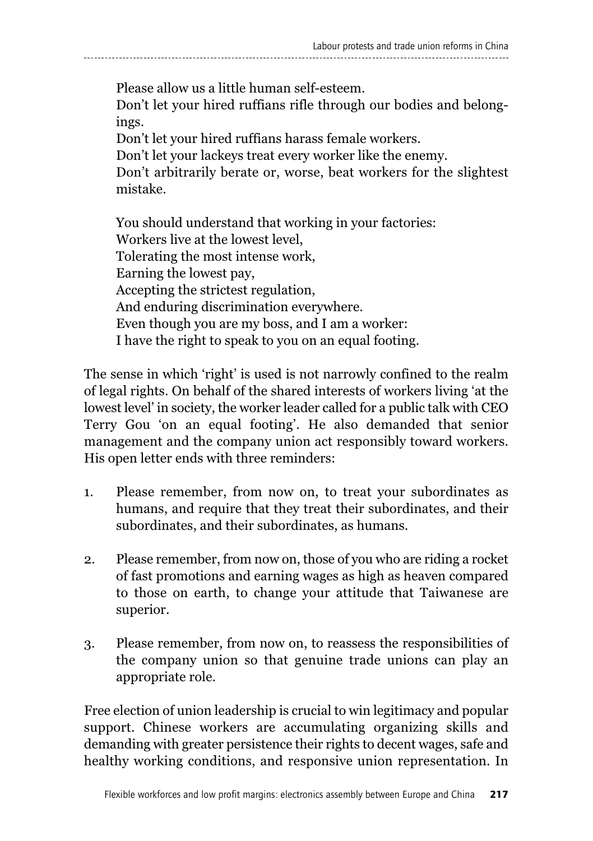### Please allow us a little human self-esteem. Don't let your hired ruffians rifle through our bodies and belongings. Don't let your hired ruffians harass female workers.

Don't let your lackeys treat every worker like the enemy.

Don't arbitrarily berate or, worse, beat workers for the slightest mistake.

You should understand that working in your factories: Workers live at the lowest level, Tolerating the most intense work, Earning the lowest pay, Accepting the strictest regulation, And enduring discrimination everywhere. Even though you are my boss, and I am a worker: I have the right to speak to you on an equal footing.

The sense in which 'right' is used is not narrowly confined to the realm of legal rights. On behalf of the shared interests of workers living 'at the lowest level' in society, the worker leader called for a public talk with CEO Terry Gou 'on an equal footing'. He also demanded that senior management and the company union act responsibly toward workers. His open letter ends with three reminders:

- 1. Please remember, from now on, to treat your subordinates as humans, and require that they treat their subordinates, and their subordinates, and their subordinates, as humans.
- 2. Please remember, from now on, those of you who are riding a rocket of fast promotions and earning wages as high as heaven compared to those on earth, to change your attitude that Taiwanese are superior.
- 3. Please remember, from now on, to reassess the responsibilities of the company union so that genuine trade unions can play an appropriate role.

Free election of union leadership is crucial to win legitimacy and popular support. Chinese workers are accumulating organizing skills and demanding with greater persistence their rights to decent wages, safe and healthy working conditions, and responsive union representation. In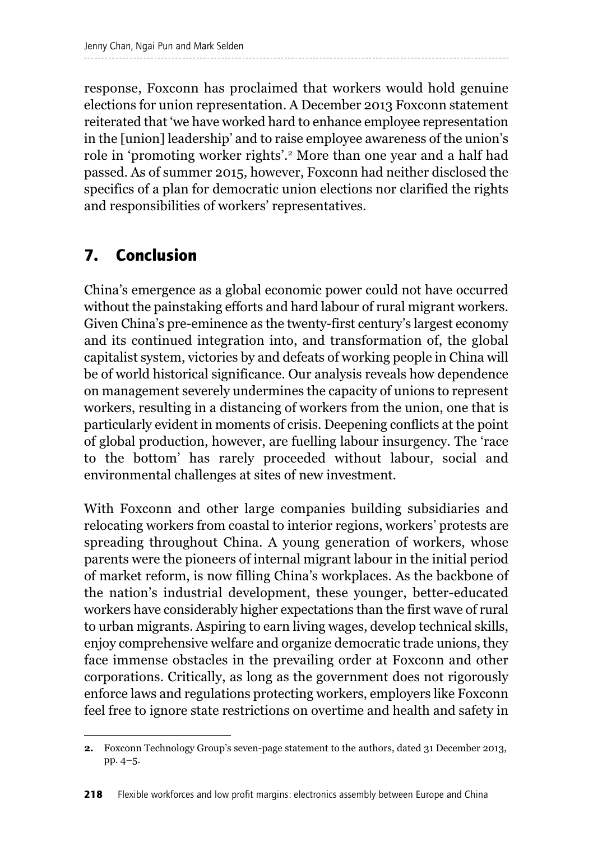response, Foxconn has proclaimed that workers would hold genuine elections for union representation. A December 2013 Foxconn statement reiterated that 'we have worked hard to enhance employee representation in the [union] leadership' and to raise employee awareness of the union's role in 'promoting worker rights'. <sup>2</sup> More than one year and a half had passed. As of summer 2015, however, Foxconn had neither disclosed the specifics of a plan for democratic union elections nor clarified the rights and responsibilities of workers' representatives.

# **7. Conclusion**

China's emergence as a global economic power could not have occurred without the painstaking efforts and hard labour of rural migrant workers. Given China's pre-eminence as the twenty-first century's largest economy and its continued integration into, and transformation of, the global capitalist system, victories by and defeats of working people in China will be of world historical significance. Our analysis reveals how dependence on management severely undermines the capacity of unions to represent workers, resulting in a distancing of workers from the union, one that is particularly evident in moments of crisis. Deepening conflicts at the point of global production, however, are fuelling labour insurgency. The 'race to the bottom' has rarely proceeded without labour, social and environmental challenges at sites of new investment.

With Foxconn and other large companies building subsidiaries and relocating workers from coastal to interior regions, workers' protests are spreading throughout China. A young generation of workers, whose parents were the pioneers of internal migrant labour in the initial period of market reform, is now filling China's workplaces. As the backbone of the nation's industrial development, these younger, better-educated workers have considerably higher expectations than the first wave of rural to urban migrants. Aspiring to earn living wages, develop technical skills, enjoy comprehensive welfare and organize democratic trade unions, they face immense obstacles in the prevailing order at Foxconn and other corporations. Critically, as long as the government does not rigorously enforce laws and regulations protecting workers, employers like Foxconn feel free to ignore state restrictions on overtime and health and safety in

**<sup>2.</sup>** Foxconn Technology Group's seven-page statement to the authors, dated 31 December 2013, pp. 4–5.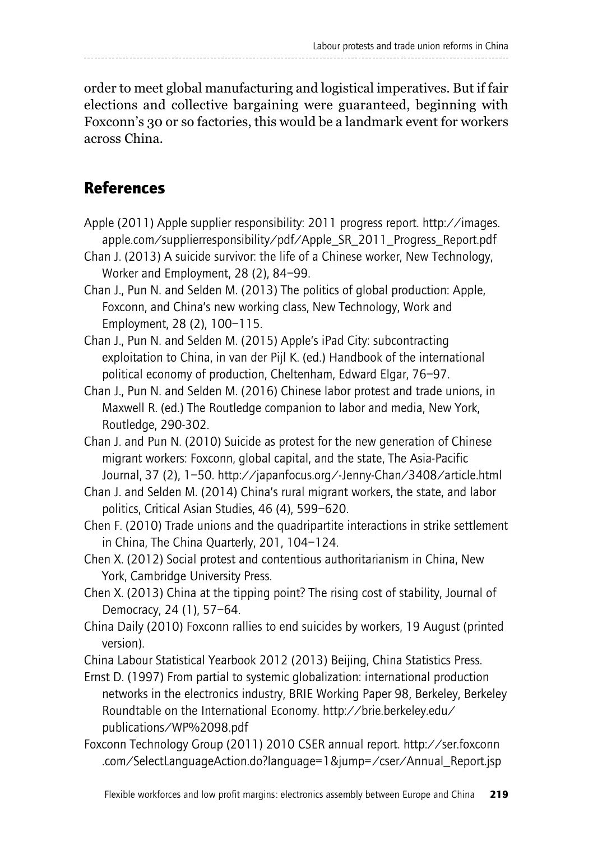order to meet global manufacturing and logistical imperatives. But if fair elections and collective bargaining were guaranteed, beginning with Foxconn's 30 or so factories, this would be a landmark event for workers across China.

## **References**

- Apple (2011) Apple supplier responsibility: 2011 progress report. http://images. apple.com/supplierresponsibility/pdf/Apple\_SR\_2011\_Progress\_Report.pdf
- Chan J. (2013) A suicide survivor: the life of a Chinese worker, New Technology, Worker and Employment, 28 (2), 84–99.
- Chan J., Pun N. and Selden M. (2013) The politics of global production: Apple, Foxconn, and China's new working class, New Technology, Work and Employment, 28 (2), 100–115.
- Chan J., Pun N. and Selden M. (2015) Apple's iPad City: subcontracting exploitation to China, in van der Pijl K. (ed.) Handbook of the international political economy of production, Cheltenham, Edward Elgar, 76–97.
- Chan J., Pun N. and Selden M. (2016) Chinese labor protest and trade unions, in Maxwell R. (ed.) The Routledge companion to labor and media, New York, Routledge, 290-302.
- Chan J. and Pun N. (2010) Suicide as protest for the new generation of Chinese migrant workers: Foxconn, global capital, and the state, The Asia-Pacific Journal, 37 (2), 1–50. http://japanfocus.org/-Jenny-Chan/3408/article.html
- Chan J. and Selden M. (2014) China's rural migrant workers, the state, and labor politics, Critical Asian Studies, 46 (4), 599–620.
- Chen F. (2010) Trade unions and the quadripartite interactions in strike settlement in China, The China Quarterly, 201, 104–124.
- Chen X. (2012) Social protest and contentious authoritarianism in China, New York, Cambridge University Press.
- Chen X. (2013) China at the tipping point? The rising cost of stability, Journal of Democracy, 24 (1), 57–64.
- China Daily (2010) Foxconn rallies to end suicides by workers, 19 August (printed version).
- China Labour Statistical Yearbook 2012 (2013) Beijing, China Statistics Press.
- Ernst D. (1997) From partial to systemic globalization: international production networks in the electronics industry, BRIE Working Paper 98, Berkeley, Berkeley Roundtable on the International Economy. http://brie.berkeley.edu/ publications/WP%2098.pdf
- Foxconn Technology Group (2011) 2010 CSER annual report. http://ser.foxconn .com/SelectLanguageAction.do?language=1&jump=/cser/Annual\_Report.jsp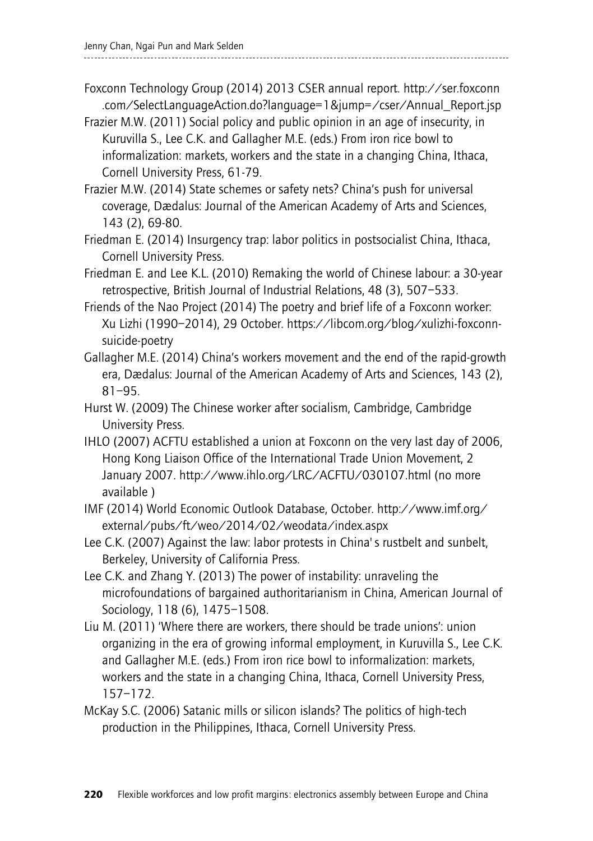- Foxconn Technology Group (2014) 2013 CSER annual report. http://ser.foxconn .com/SelectLanguageAction.do?language=1&jump=/cser/Annual\_Report.jsp
- Frazier M.W. (2011) Social policy and public opinion in an age of insecurity, in Kuruvilla S., Lee C.K. and Gallagher M.E. (eds.) From iron rice bowl to informalization: markets, workers and the state in a changing China, Ithaca, Cornell University Press, 61-79.
- Frazier M.W. (2014) State schemes or safety nets? China's push for universal coverage, Dædalus: Journal of the American Academy of Arts and Sciences, 143 (2), 69-80.
- Friedman E. (2014) Insurgency trap: labor politics in postsocialist China, Ithaca, Cornell University Press.
- Friedman E. and Lee K.L. (2010) Remaking the world of Chinese labour: a 30-year retrospective, British Journal of Industrial Relations, 48 (3), 507–533.
- Friends of the Nao Project (2014) The poetry and brief life of a Foxconn worker: Xu Lizhi (1990–2014), 29 October. https://libcom.org/blog/xulizhi-foxconnsuicide-poetry
- Gallagher M.E. (2014) China's workers movement and the end of the rapid-growth era, Dædalus: Journal of the American Academy of Arts and Sciences, 143 (2), 81–95.
- Hurst W. (2009) The Chinese worker after socialism, Cambridge, Cambridge University Press.
- IHLO (2007) ACFTU established a union at Foxconn on the very last day of 2006, Hong Kong Liaison Office of the International Trade Union Movement, 2 January 2007. http://www.ihlo.org/LRC/ACFTU/030107.html (no more available )
- IMF (2014) World Economic Outlook Database, October. http://www.imf.org/ external/pubs/ft/weo/2014/02/weodata/index.aspx
- Lee C.K. (2007) Against the law: labor protests in China's rustbelt and sunbelt, Berkeley, University of California Press.
- Lee C.K. and Zhang Y. (2013) The power of instability: unraveling the microfoundations of bargained authoritarianism in China, American Journal of Sociology, 118 (6), 1475–1508.
- Liu M. (2011) 'Where there are workers, there should be trade unions': union organizing in the era of growing informal employment, in Kuruvilla S., Lee C.K. and Gallagher M.E. (eds.) From iron rice bowl to informalization: markets, workers and the state in a changing China, Ithaca, Cornell University Press, 157–172.
- McKay S.C. (2006) Satanic mills or silicon islands? The politics of high-tech production in the Philippines, Ithaca, Cornell University Press.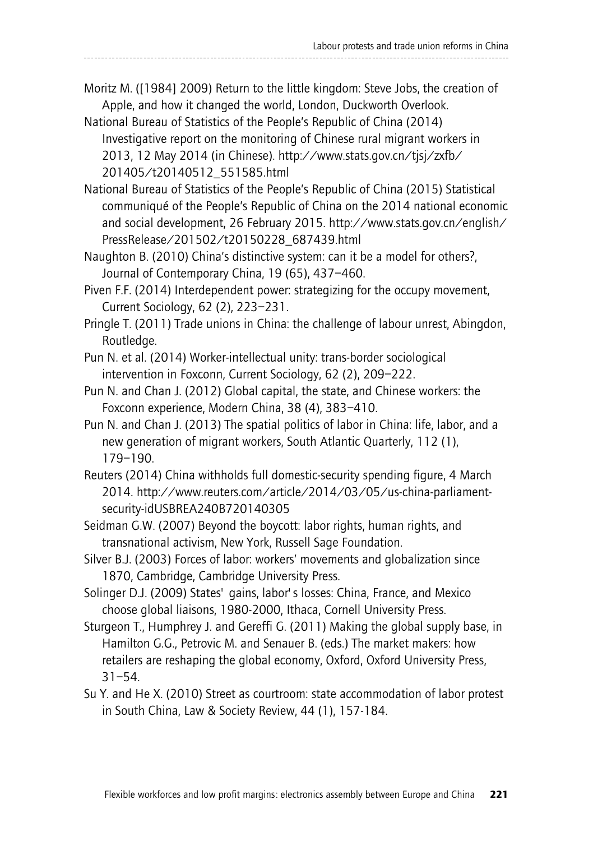#### Moritz M. ([1984] 2009) Return to the little kingdom: Steve Jobs, the creation of Apple, and how it changed the world, London, Duckworth Overlook.

National Bureau of Statistics of the People's Republic of China (2014) Investigative report on the monitoring of Chinese rural migrant workers in 2013, 12 May 2014 (in Chinese). http://www.stats.gov.cn/tjsj/zxfb/ 201405/t20140512\_551585.html

National Bureau of Statistics of the People's Republic of China (2015) Statistical communiqué of the People's Republic of China on the 2014 national economic and social development, 26 February 2015. http://www.stats.gov.cn/english/ PressRelease/201502/t20150228\_687439.html

Naughton B. (2010) China's distinctive system: can it be a model for others?, Journal of Contemporary China, 19 (65), 437–460.

Piven F.F. (2014) Interdependent power: strategizing for the occupy movement, Current Sociology, 62 (2), 223–231.

Pringle T. (2011) Trade unions in China: the challenge of labour unrest, Abingdon, Routledge.

- Pun N. et al. (2014) Worker-intellectual unity: trans-border sociological intervention in Foxconn, Current Sociology, 62 (2), 209–222.
- Pun N. and Chan J. (2012) Global capital, the state, and Chinese workers: the Foxconn experience, Modern China, 38 (4), 383–410.
- Pun N. and Chan J. (2013) The spatial politics of labor in China: life, labor, and a new generation of migrant workers, South Atlantic Quarterly, 112 (1), 179–190.
- Reuters (2014) China withholds full domestic-security spending figure, 4 March 2014. http://www.reuters.com/article/2014/03/05/us-china-parliamentsecurity-idUSBREA240B720140305
- Seidman G.W. (2007) Beyond the boycott: labor rights, human rights, and transnational activism, New York, Russell Sage Foundation.
- Silver B.J. (2003) Forces of labor: workers' movements and globalization since 1870, Cambridge, Cambridge University Press.
- Solinger D.J. (2009) States' gains, labor's losses: China, France, and Mexico choose global liaisons, 1980-2000, Ithaca, Cornell University Press.
- Sturgeon T., Humphrey J. and Gereffi G. (2011) Making the global supply base, in Hamilton G.G., Petrovic M. and Senauer B. (eds.) The market makers: how retailers are reshaping the global economy, Oxford, Oxford University Press, 31–54.
- Su Y. and He X. (2010) Street as courtroom: state accommodation of labor protest in South China, Law & Society Review, 44 (1), 157-184.